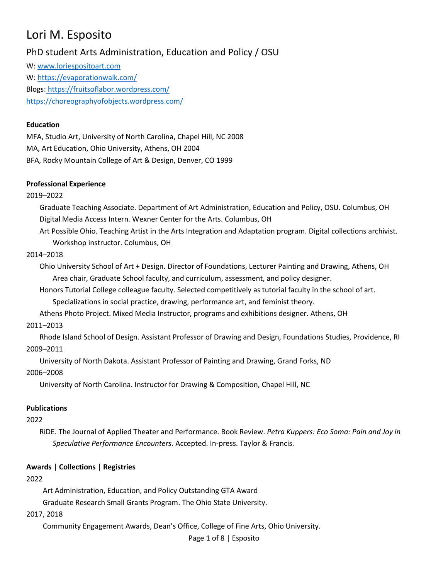# Lori M. Esposito

# PhD student Arts Administration, Education and Policy / OSU

W: [www.loriespositoart.com](http://www.loriespositoart.com/) W:<https://evaporationwalk.com/> Blogs: <https://fruitsoflabor.wordpress.com/> <https://choreographyofobjects.wordpress.com/>

### **Education**

MFA, Studio Art, University of North Carolina, Chapel Hill, NC 2008 MA, Art Education, Ohio University, Athens, OH 2004 BFA, Rocky Mountain College of Art & Design, Denver, CO 1999

### **Professional Experience**

### 2019–2022

Graduate Teaching Associate. Department of Art Administration, Education and Policy, OSU. Columbus, OH Digital Media Access Intern. Wexner Center for the Arts. Columbus, OH

Art Possible Ohio. Teaching Artist in the Arts Integration and Adaptation program. Digital collections archivist. Workshop instructor. Columbus, OH

### 2014–2018

Ohio University School of Art + Design. Director of Foundations, Lecturer Painting and Drawing, Athens, OH Area chair, Graduate School faculty, and curriculum, assessment, and policy designer.

Honors Tutorial College colleague faculty. Selected competitively as tutorial faculty in the school of art. Specializations in social practice, drawing, performance art, and feminist theory.

Athens Photo Project. Mixed Media Instructor, programs and exhibitions designer. Athens, OH

### 2011–2013

Rhode Island School of Design. Assistant Professor of Drawing and Design, Foundations Studies, Providence, RI 2009–2011

University of North Dakota. Assistant Professor of Painting and Drawing, Grand Forks, ND

### 2006–2008

University of North Carolina. Instructor for Drawing & Composition, Chapel Hill, NC

### **Publications**

### 2022

RiDE. The Journal of Applied Theater and Performance. Book Review. *Petra Kuppers: Eco Soma: Pain and Joy in Speculative Performance Encounters*. Accepted. In-press. Taylor & Francis.

### **Awards | Collections | Registries**

# 2022

Art Administration, Education, and Policy Outstanding GTA Award

Graduate Research Small Grants Program. The Ohio State University.

# 2017, 2018

Community Engagement Awards, Dean's Office, College of Fine Arts, Ohio University.

Page 1 of 8 | Esposito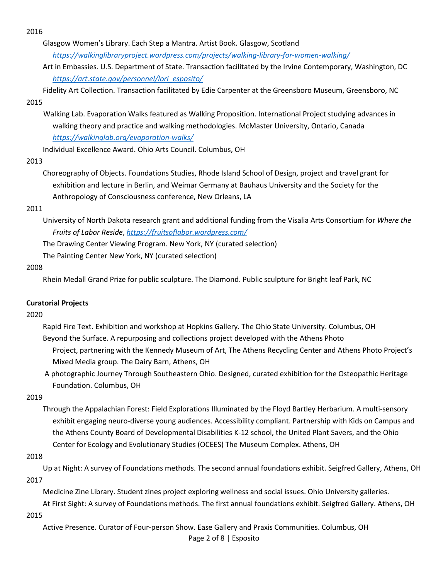2016

Glasgow Women's Library. Each Step a Mantra. Artist Book. Glasgow, Scotland *<https://walkinglibraryproject.wordpress.com/projects/walking-library-for-women-walking/>*

Art in Embassies. U.S. Department of State. Transaction facilitated by the Irvine Contemporary, Washington, DC *[https://art.state.gov/personnel/lori\\_esposito/](https://art.state.gov/personnel/lori_esposito/)*

Fidelity Art Collection. Transaction facilitated by Edie Carpenter at the Greensboro Museum, Greensboro, NC 2015

# Walking Lab. Evaporation Walks featured as Walking Proposition. International Project studying advances in walking theory and practice and walking methodologies. McMaster University, Ontario, Canada *<https://walkinglab.org/evaporation-walks/>*

Individual Excellence Award. Ohio Arts Council. Columbus, OH

### 2013

Choreography of Objects. Foundations Studies, Rhode Island School of Design, project and travel grant for exhibition and lecture in Berlin, and Weimar Germany at Bauhaus University and the Society for the Anthropology of Consciousness conference, New Orleans, LA

### 2011

University of North Dakota research grant and additional funding from the Visalia Arts Consortium for *Where the Fruits of Labor Reside*, *<https://fruitsoflabor.wordpress.com/>*

The Drawing Center Viewing Program. New York, NY (curated selection)

The Painting Center New York, NY (curated selection)

### 2008

Rhein Medall Grand Prize for public sculpture. The Diamond. Public sculpture for Bright leaf Park, NC

### **Curatorial Projects**

### 2020

- Rapid Fire Text. Exhibition and workshop at Hopkins Gallery. The Ohio State University. Columbus, OH Beyond the Surface. A repurposing and collections project developed with the Athens Photo Project, partnering with the Kennedy Museum of Art, The Athens Recycling Center and Athens Photo Project's Mixed Media group. The Dairy Barn, Athens, OH
- A photographic Journey Through Southeastern Ohio. Designed, curated exhibition for the Osteopathic Heritage Foundation. Columbus, OH

### 2019

Through the Appalachian Forest: Field Explorations Illuminated by the Floyd Bartley Herbarium. A multi-sensory exhibit engaging neuro-diverse young audiences. Accessibility compliant. Partnership with Kids on Campus and the Athens County Board of Developmental Disabilities K-12 school, the United Plant Savers, and the Ohio Center for Ecology and Evolutionary Studies (OCEES) The Museum Complex. Athens, OH

### 2018

Up at Night: A survey of Foundations methods. The second annual foundations exhibit. Seigfred Gallery, Athens, OH 2017

Medicine Zine Library. Student zines project exploring wellness and social issues. Ohio University galleries.

At First Sight: A survey of Foundations methods. The first annual foundations exhibit. Seigfred Gallery. Athens, OH 2015

Page 2 of 8 | Esposito Active Presence. Curator of Four-person Show. Ease Gallery and Praxis Communities. Columbus, OH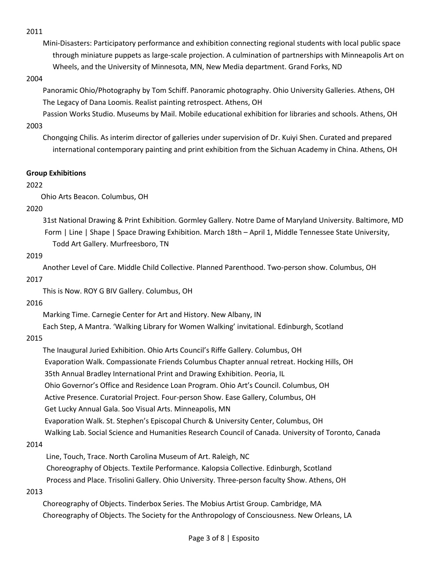2011

Mini-Disasters: Participatory performance and exhibition connecting regional students with local public space through miniature puppets as large-scale projection. A culmination of partnerships with Minneapolis Art on Wheels, and the University of Minnesota, MN, New Media department. Grand Forks, ND

### 2004

Panoramic Ohio/Photography by Tom Schiff. Panoramic photography. Ohio University Galleries. Athens, OH The Legacy of Dana Loomis. Realist painting retrospect. Athens, OH

Passion Works Studio. Museums by Mail. Mobile educational exhibition for libraries and schools. Athens, OH 2003

Chongqing Chilis. As interim director of galleries under supervision of Dr. Kuiyi Shen. Curated and prepared international contemporary painting and print exhibition from the Sichuan Academy in China. Athens, OH

### **Group Exhibitions**

### 2022

Ohio Arts Beacon. Columbus, OH

### 2020

31st National Drawing & Print Exhibition. Gormley Gallery. Notre Dame of Maryland University. Baltimore, MD Form | Line | Shape | Space Drawing Exhibition. March 18th – April 1, Middle Tennessee State University, Todd Art Gallery. Murfreesboro, TN

### 2019

Another Level of Care. Middle Child Collective. Planned Parenthood. Two-person show. Columbus, OH 2017

This is Now. ROY G BIV Gallery. Columbus, OH

### 2016

Marking Time. Carnegie Center for Art and History. New Albany, IN

Each Step, A Mantra. 'Walking Library for Women Walking' invitational. Edinburgh, Scotland

### 2015

The Inaugural Juried Exhibition. Ohio Arts Council's Riffe Gallery. Columbus, OH Evaporation Walk. Compassionate Friends Columbus Chapter annual retreat. Hocking Hills, OH 35th Annual Bradley International Print and Drawing Exhibition. Peoria, IL Ohio Governor's Office and Residence Loan Program. Ohio Art's Council. Columbus, OH Active Presence. Curatorial Project. Four-person Show. Ease Gallery, Columbus, OH Get Lucky Annual Gala. Soo Visual Arts. Minneapolis, MN Evaporation Walk. St. Stephen's Episcopal Church & University Center, Columbus, OH Walking Lab. Social Science and Humanities Research Council of Canada. University of Toronto, Canada

### 2014

Line, Touch, Trace. North Carolina Museum of Art. Raleigh, NC Choreography of Objects. Textile Performance. Kalopsia Collective. Edinburgh, Scotland Process and Place. Trisolini Gallery. Ohio University. Three-person faculty Show. Athens, OH

### 2013

Choreography of Objects. Tinderbox Series. The Mobius Artist Group. Cambridge, MA Choreography of Objects. The Society for the Anthropology of Consciousness. New Orleans, LA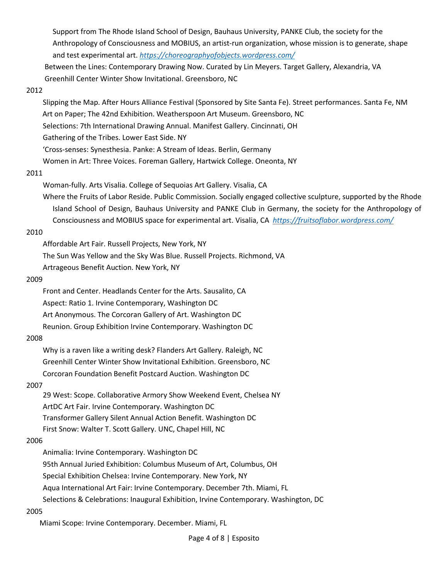Support from The Rhode Island School of Design, Bauhaus University, PANKE Club, the society for the Anthropology of Consciousness and MOBIUS, an artist-run organization, whose mission is to generate, shape and test experimental art. *<https://choreographyofobjects.wordpress.com/>*

 Between the Lines: Contemporary Drawing Now. Curated by Lin Meyers. Target Gallery, Alexandria, VA Greenhill Center Winter Show Invitational. Greensboro, NC

#### 2012

Slipping the Map. After Hours Alliance Festival (Sponsored by Site Santa Fe). Street performances. Santa Fe, NM Art on Paper; The 42nd Exhibition. Weatherspoon Art Museum. Greensboro, NC Selections: 7th International Drawing Annual. Manifest Gallery. Cincinnati, OH Gathering of the Tribes. Lower East Side. NY

'Cross-senses: Synesthesia. Panke: A Stream of Ideas. Berlin, Germany

Women in Art: Three Voices. Foreman Gallery, Hartwick College. Oneonta, NY

#### 2011

Woman-fully. Arts Visalia. College of Sequoias Art Gallery. Visalia, CA

Where the Fruits of Labor Reside. Public Commission. Socially engaged collective sculpture, supported by the Rhode Island School of Design, Bauhaus University and PANKE Club in Germany, the society for the Anthropology of Consciousness and MOBIUS space for experimental art. Visalia, CA *<https://fruitsoflabor.wordpress.com/>*

#### 2010

Affordable Art Fair. Russell Projects, New York, NY

The Sun Was Yellow and the Sky Was Blue. Russell Projects. Richmond, VA

Artrageous Benefit Auction. New York, NY

#### 2009

Front and Center. Headlands Center for the Arts. Sausalito, CA Aspect: Ratio 1. Irvine Contemporary, Washington DC Art Anonymous. The Corcoran Gallery of Art. Washington DC Reunion. Group Exhibition Irvine Contemporary. Washington DC

#### 2008

Why is a raven like a writing desk? Flanders Art Gallery. Raleigh, NC Greenhill Center Winter Show Invitational Exhibition. Greensboro, NC Corcoran Foundation Benefit Postcard Auction. Washington DC

#### 2007

29 West: Scope. Collaborative Armory Show Weekend Event, Chelsea NY ArtDC Art Fair. Irvine Contemporary. Washington DC Transformer Gallery Silent Annual Action Benefit. Washington DC First Snow: Walter T. Scott Gallery. UNC, Chapel Hill, NC

#### 2006

Animalia: Irvine Contemporary. Washington DC

95th Annual Juried Exhibition: Columbus Museum of Art, Columbus, OH

Special Exhibition Chelsea: Irvine Contemporary. New York, NY

Aqua International Art Fair: Irvine Contemporary. December 7th. Miami, FL

Selections & Celebrations: Inaugural Exhibition, Irvine Contemporary. Washington, DC

#### 2005

Miami Scope: Irvine Contemporary. December. Miami, FL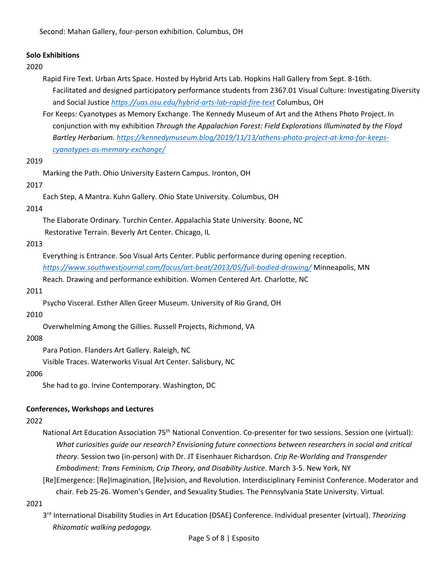Second: Mahan Gallery, four-person exhibition. Columbus, OH

#### **Solo Exhibitions**

#### 2020

- Rapid Fire Text. Urban Arts Space. Hosted by Hybrid Arts Lab. Hopkins Hall Gallery from Sept. 8-16th. Facilitated and designed participatory performance students from 2367.01 Visual Culture: Investigating Diversity and Social Justice *<https://uas.osu.edu/hybrid-arts-lab-rapid-fire-text>* Columbus, OH
- For Keeps: Cyanotypes as Memory Exchange. The Kennedy Museum of Art and the Athens Photo Project. In conjunction with my exhibition *Through the Appalachian Forest: Field Explorations Illuminated by the Floyd Bartley Herbarium. [https://kennedymuseum.blog/2019/11/13/athens-photo-project-at-kma-for-keeps](https://kennedymuseum.blog/2019/11/13/athens-photo-project-at-kma-for-keeps-cyanotypes-as-memory-exchange/)[cyanotypes-as-memory-exchange/](https://kennedymuseum.blog/2019/11/13/athens-photo-project-at-kma-for-keeps-cyanotypes-as-memory-exchange/)*

#### 2019

Marking the Path. Ohio University Eastern Campus. Ironton, OH

#### 2017

Each Step, A Mantra. Kuhn Gallery. Ohio State University. Columbus, OH

#### 2014

The Elaborate Ordinary. Turchin Center. Appalachia State University. Boone, NC Restorative Terrain. Beverly Art Center. Chicago, IL

#### 2013

Everything is Entrance. Soo Visual Arts Center. Public performance during opening reception. *<https://www.southwestjournal.com/focus/art-beat/2013/05/full-bodied-drawing/>* Minneapolis, MN Reach. Drawing and performance exhibition. Women Centered Art. Charlotte, NC

#### 2011

Psycho Visceral. Esther Allen Greer Museum. University of Rio Grand, OH

#### 2010

Overwhelming Among the Gillies. Russell Projects, Richmond, VA

#### 2008

Para Potion. Flanders Art Gallery. Raleigh, NC

Visible Traces. Waterworks Visual Art Center. Salisbury, NC

#### 2006

She had to go. Irvine Contemporary. Washington, DC

#### **Conferences, Workshops and Lectures**

#### 2022

National Art Education Association 75<sup>th</sup> National Convention. Co-presenter for two sessions. Session one (virtual): *What curiosities guide our research? Envisioning future connections between researchers in social and critical theory*. Session two (in-person) with Dr. JT Eisenhauer Richardson. *Crip Re-Worlding and Transgender Embodiment: Trans Feminism, Crip Theory, and Disability Justice.* March 3-5. New York, NY

[Re]Emergence: [Re]Imagination, [Re]vision, and Revolution. Interdisciplinary Feminist Conference. Moderator and chair. Feb 25-26. Women's Gender, and Sexuality Studies. The Pennsylvania State University. Virtual.

#### 2021

3 rd International Disability Studies in Art Education (DSAE) Conference. Individual presenter (virtual). *Theorizing Rhizomatic walking pedagogy.*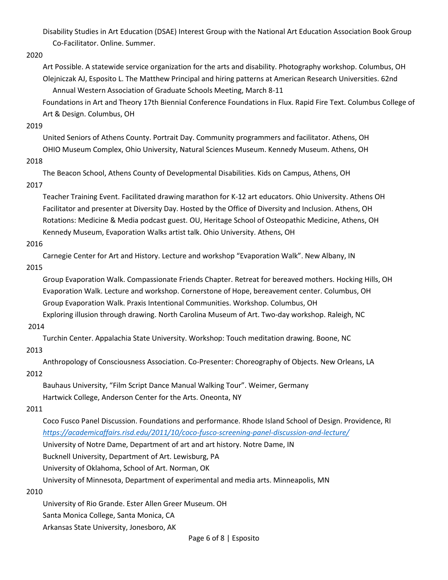Disability Studies in Art Education (DSAE) Interest Group with the National Art Education Association Book Group Co-Facilitator. Online. Summer.

#### 2020

Art Possible. A statewide service organization for the arts and disability. Photography workshop. Columbus, OH Olejniczak AJ, Esposito L. The Matthew Principal and hiring patterns at American Research Universities. 62nd Annual Western Association of Graduate Schools Meeting, March 8-11

 Foundations in Art and Theory 17th Biennial Conference Foundations in Flux. Rapid Fire Text. Columbus College of Art & Design. Columbus, OH

### 2019

United Seniors of Athens County. Portrait Day. Community programmers and facilitator. Athens, OH OHIO Museum Complex, Ohio University, Natural Sciences Museum. Kennedy Museum. Athens, OH

### 2018

The Beacon School, Athens County of Developmental Disabilities. Kids on Campus, Athens, OH 2017

Teacher Training Event. Facilitated drawing marathon for K-12 art educators. Ohio University. Athens OH Facilitator and presenter at Diversity Day. Hosted by the Office of Diversity and Inclusion. Athens, OH Rotations: Medicine & Media podcast guest. OU, Heritage School of Osteopathic Medicine, Athens, OH Kennedy Museum, Evaporation Walks artist talk. Ohio University. Athens, OH

### 2016

Carnegie Center for Art and History. Lecture and workshop "Evaporation Walk". New Albany, IN

### 2015

Group Evaporation Walk. Compassionate Friends Chapter. Retreat for bereaved mothers. Hocking Hills, OH Evaporation Walk. Lecture and workshop. Cornerstone of Hope, bereavement center. Columbus, OH Group Evaporation Walk. Praxis Intentional Communities. Workshop. Columbus, OH

 Exploring illusion through drawing. North Carolina Museum of Art. Two-day workshop. Raleigh, NC 2014

Turchin Center. Appalachia State University. Workshop: Touch meditation drawing. Boone, NC

### 2013

Anthropology of Consciousness Association. Co-Presenter: Choreography of Objects. New Orleans, LA

### 2012

Bauhaus University, "Film Script Dance Manual Walking Tour". Weimer, Germany Hartwick College, Anderson Center for the Arts. Oneonta, NY

# 2011

Coco Fusco Panel Discussion. Foundations and performance. Rhode Island School of Design. Providence, RI *<https://academicaffairs.risd.edu/2011/10/coco-fusco-screening-panel-discussion-and-lecture/>* University of Notre Dame, Department of art and art history. Notre Dame, IN Bucknell University, Department of Art. Lewisburg, PA

University of Oklahoma, School of Art. Norman, OK

University of Minnesota, Department of experimental and media arts. Minneapolis, MN

### 2010

University of Rio Grande. Ester Allen Greer Museum. OH

Santa Monica College, Santa Monica, CA

Arkansas State University, Jonesboro, AK

Page 6 of 8 | Esposito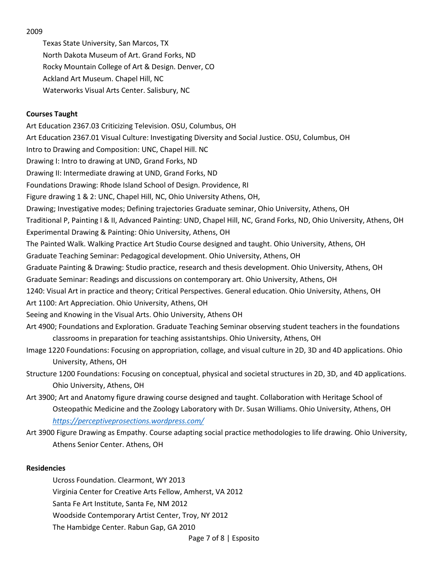2009

Texas State University, San Marcos, TX North Dakota Museum of Art. Grand Forks, ND Rocky Mountain College of Art & Design. Denver, CO Ackland Art Museum. Chapel Hill, NC Waterworks Visual Arts Center. Salisbury, NC

### **Courses Taught**

Art Education 2367.03 Criticizing Television. OSU, Columbus, OH Art Education 2367.01 Visual Culture: Investigating Diversity and Social Justice. OSU, Columbus, OH Intro to Drawing and Composition: UNC, Chapel Hill. NC Drawing I: Intro to drawing at UND, Grand Forks, ND Drawing II: Intermediate drawing at UND, Grand Forks, ND Foundations Drawing: Rhode Island School of Design. Providence, RI Figure drawing 1 & 2: UNC, Chapel Hill, NC, Ohio University Athens, OH, Drawing; Investigative modes; Defining trajectories Graduate seminar, Ohio University, Athens, OH Traditional P, Painting I & II, Advanced Painting: UND, Chapel Hill, NC, Grand Forks, ND, Ohio University, Athens, OH Experimental Drawing & Painting: Ohio University, Athens, OH The Painted Walk. Walking Practice Art Studio Course designed and taught. Ohio University, Athens, OH Graduate Teaching Seminar: Pedagogical development. Ohio University, Athens, OH Graduate Painting & Drawing: Studio practice, research and thesis development. Ohio University, Athens, OH Graduate Seminar: Readings and discussions on contemporary art. Ohio University, Athens, OH 1240: Visual Art in practice and theory; Critical Perspectives. General education. Ohio University, Athens, OH Art 1100: Art Appreciation. Ohio University, Athens, OH Seeing and Knowing in the Visual Arts. Ohio University, Athens OH Art 4900; Foundations and Exploration. Graduate Teaching Seminar observing student teachers in the foundations classrooms in preparation for teaching assistantships. Ohio University, Athens, OH Image 1220 Foundations: Focusing on appropriation, collage, and visual culture in 2D, 3D and 4D applications. Ohio University, Athens, OH Structure 1200 Foundations: Focusing on conceptual, physical and societal structures in 2D, 3D, and 4D applications.

Ohio University, Athens, OH

Art 3900; Art and Anatomy figure drawing course designed and taught. Collaboration with Heritage School of Osteopathic Medicine and the Zoology Laboratory with Dr. Susan Williams. Ohio University, Athens, OH *<https://perceptiveprosections.wordpress.com/>*

Art 3900 Figure Drawing as Empathy. Course adapting social practice methodologies to life drawing. Ohio University, Athens Senior Center. Athens, OH

### **Residencies**

Page 7 of 8 | Esposito Ucross Foundation. Clearmont, WY 2013 Virginia Center for Creative Arts Fellow, Amherst, VA 2012 Santa Fe Art Institute, Santa Fe, NM 2012 Woodside Contemporary Artist Center, Troy, NY 2012 The Hambidge Center. Rabun Gap, GA 2010